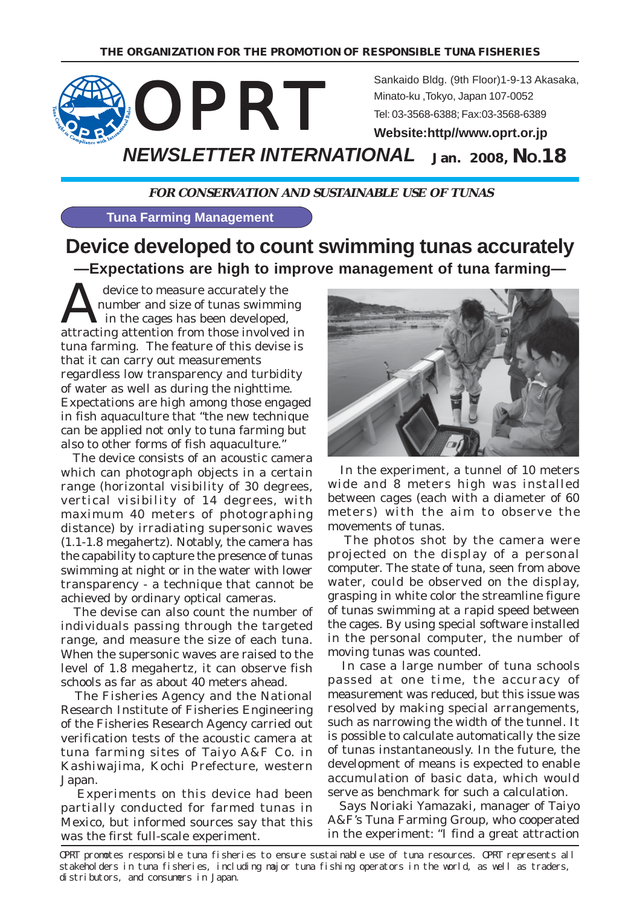

**FOR CONSERVATION AND SUSTAINABLE USE OF TUNAS**

**Tuna Farming Management**

# **Device developed to count swimming tunas accurately —Expectations are high to improve management of tuna farming—**

A device to measure accurately the<br>
in the cages has been developed,<br>
attracting attention from these involved number and size of tunas swimming attracting attention from those involved in tuna farming. The feature of this devise is that it can carry out measurements regardless low transparency and turbidity of water as well as during the nighttime. Expectations are high among those engaged in fish aquaculture that "the new technique can be applied not only to tuna farming but also to other forms of fish aquaculture."

 The device consists of an acoustic camera which can photograph objects in a certain range (horizontal visibility of 30 degrees, vertical visibility of 14 degrees, with maximum 40 meters of photographing distance) by irradiating supersonic waves (1.1-1.8 megahertz). Notably, the camera has the capability to capture the presence of tunas swimming at night or in the water with lower transparency - a technique that cannot be achieved by ordinary optical cameras.

 The devise can also count the number of individuals passing through the targeted range, and measure the size of each tuna. When the supersonic waves are raised to the level of 1.8 megahertz, it can observe fish schools as far as about 40 meters ahead.

 The Fisheries Agency and the National Research Institute of Fisheries Engineering of the Fisheries Research Agency carried out verification tests of the acoustic camera at tuna farming sites of Taiyo A&F Co. in Kashiwajima, Kochi Prefecture, western Japan.

 Experiments on this device had been partially conducted for farmed tunas in Mexico, but informed sources say that this was the first full-scale experiment.



 In the experiment, a tunnel of 10 meters wide and 8 meters high was installed between cages (each with a diameter of 60 meters) with the aim to observe the movements of tunas.

 The photos shot by the camera were projected on the display of a personal computer. The state of tuna, seen from above water, could be observed on the display, grasping in white color the streamline figure of tunas swimming at a rapid speed between the cages. By using special software installed in the personal computer, the number of moving tunas was counted.

 In case a large number of tuna schools passed at one time, the accuracy of measurement was reduced, but this issue was resolved by making special arrangements, such as narrowing the width of the tunnel. It is possible to calculate automatically the size of tunas instantaneously. In the future, the development of means is expected to enable accumulation of basic data, which would serve as benchmark for such a calculation.

 Says Noriaki Yamazaki, manager of Taiyo A&F's Tuna Farming Group, who cooperated in the experiment: "I find a great attraction

OPRT promotes responsible tuna fisheries to ensure sustainable use of tuna resources. OPRT represents all stakeholders in tuna fisheries, including major tuna fishing operators in the world, as well as traders, distributors, and consumers in Japan.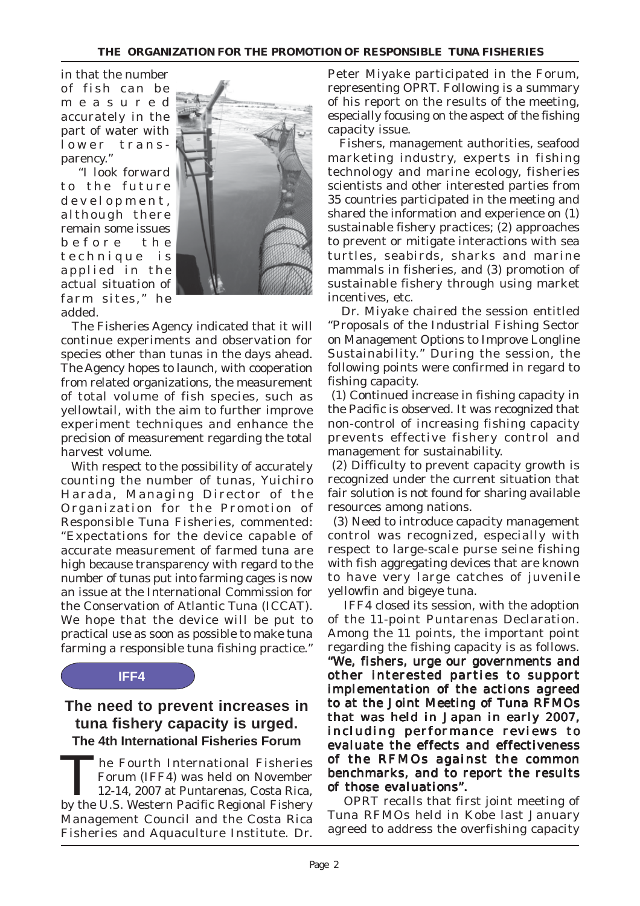in that the number of fish can be measured accurately in the part of water with lower transparency."

"I look forward to the future development, although there remain some issues before the technique is applied in the actual situation of farm sites," he added.



 The Fisheries Agency indicated that it will continue experiments and observation for species other than tunas in the days ahead. The Agency hopes to launch, with cooperation from related organizations, the measurement of total volume of fish species, such as yellowtail, with the aim to further improve experiment techniques and enhance the precision of measurement regarding the total harvest volume.

 With respect to the possibility of accurately counting the number of tunas, Yuichiro Harada, Managing Director of the Organization for the Promotion of Responsible Tuna Fisheries, commented: "Expectations for the device capable of accurate measurement of farmed tuna are high because transparency with regard to the number of tunas put into farming cages is now an issue at the International Commission for the Conservation of Atlantic Tuna (ICCAT). We hope that the device will be put to practical use as soon as possible to make tuna farming a responsible tuna fishing practice."

#### **IFF4**

## **The need to prevent increases in tuna fishery capacity is urged. The 4th International Fisheries Forum**

The Fourth International Fisheries<br>
Forum (IFF4) was held on November<br>
12-14, 2007 at Puntarenas, Costa Rica,<br>
by the U.S. Western Besifie Besienel Fishery Forum (IFF4) was held on November by the U.S. Western Pacific Regional Fishery Management Council and the Costa Rica Fisheries and Aquaculture Institute. Dr.

Peter Miyake participated in the Forum, representing OPRT. Following is a summary of his report on the results of the meeting, especially focusing on the aspect of the fishing capacity issue.

 Fishers, management authorities, seafood marketing industry, experts in fishing technology and marine ecology, fisheries scientists and other interested parties from 35 countries participated in the meeting and shared the information and experience on (1) sustainable fishery practices; (2) approaches to prevent or mitigate interactions with sea turtles, seabirds, sharks and marine mammals in fisheries, and (3) promotion of sustainable fishery through using market incentives, etc.

 Dr. Miyake chaired the session entitled "Proposals of the Industrial Fishing Sector on Management Options to Improve Longline Sustainability." During the session, the following points were confirmed in regard to fishing capacity.

 (1) Continued increase in fishing capacity in the Pacific is observed. It was recognized that non-control of increasing fishing capacity prevents effective fishery control and management for sustainability.

 (2) Difficulty to prevent capacity growth is recognized under the current situation that fair solution is not found for sharing available resources among nations.

(3) Need to introduce capacity management control was recognized, especially with respect to large-scale purse seine fishing with fish aggregating devices that are known to have very large catches of juvenile yellowfin and bigeye tuna.

IFF4 closed its session, with the adoption of the 11-point Puntarenas Declaration. Among the 11 points, the important point regarding the fishing capacity is as follows. "We, fishers, urge our governments and other interested parties to support implementation of the actions agreed to at the Joint Meeting of Tuna RFMOs that was held in Japan in early 2007, including performance reviews to evaluate the effects and effectiveness of the RFMOs against the common benchmarks, and to report the results of those evaluations".

OPRT recalls that first joint meeting of Tuna RFMOs held in Kobe last January agreed to address the overfishing capacity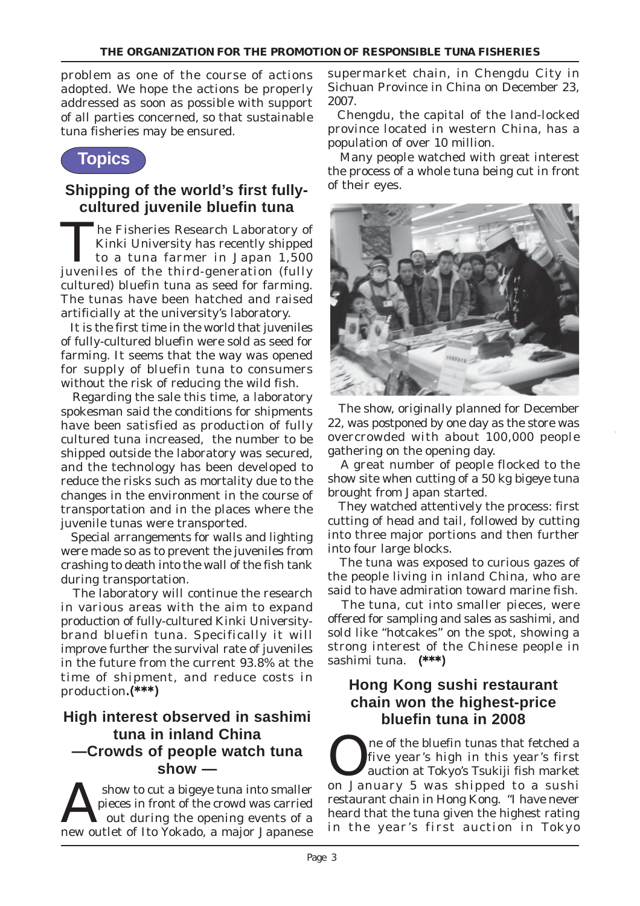problem as one of the course of actions adopted. We hope the actions be properly addressed as soon as possible with support of all parties concerned, so that sustainable tuna fisheries may be ensured.

## **Topics**

## **Shipping of the world's first fullycultured juvenile bluefin tuna**

The Fisheries Research Laboratory of Kinki University has recently shipped to a tuna farmer in Japan 1,500 juveniles of the third-generation (fully cultured) bluefin tuna as seed for farming. The tunas have been hatched and raised artificially at the university's laboratory.

 It is the first time in the world that juveniles of fully-cultured bluefin were sold as seed for farming. It seems that the way was opened for supply of bluefin tuna to consumers without the risk of reducing the wild fish.

 Regarding the sale this time, a laboratory spokesman said the conditions for shipments have been satisfied as production of fully cultured tuna increased, the number to be shipped outside the laboratory was secured, and the technology has been developed to reduce the risks such as mortality due to the changes in the environment in the course of transportation and in the places where the juvenile tunas were transported.

 Special arrangements for walls and lighting were made so as to prevent the juveniles from crashing to death into the wall of the fish tank during transportation.

 The laboratory will continue the research in various areas with the aim to expand production of fully-cultured Kinki Universitybrand bluefin tuna. Specifically it will improve further the survival rate of juveniles in the future from the current 93.8% at the time of shipment, and reduce costs in production.(\*\*\*)

### **High interest observed in sashimi tuna in inland China —Crowds of people watch tuna show —**

show to cut a bigeye tuna into smaller<br>pieces in front of the crowd was carried<br>out during the opening events of a<br>main lapaneses pieces in front of the crowd was carried new outlet of Ito Yokado, a major Japanese

supermarket chain, in Chengdu City in Sichuan Province in China on December 23, 2007.

 Chengdu, the capital of the land-locked province located in western China, has a population of over 10 million.

 Many people watched with great interest the process of a whole tuna being cut in front of their eyes.



 The show, originally planned for December 22, was postponed by one day as the store was overcrowded with about 100,000 people gathering on the opening day.

 A great number of people flocked to the show site when cutting of a 50 kg bigeye tuna brought from Japan started.

 They watched attentively the process: first cutting of head and tail, followed by cutting into three major portions and then further into four large blocks.

 The tuna was exposed to curious gazes of the people living in inland China, who are said to have admiration toward marine fish.

 The tuna, cut into smaller pieces, were offered for sampling and sales as sashimi, and sold like "hotcakes" on the spot, showing a strong interest of the Chinese people in sashimi tuna. (\*\*\*)

## **Hong Kong sushi restaurant chain won the highest-price bluefin tuna in 2008**

ne of the bluefin tunas that fetched a five year's high in this year's first auction at Tokyo's Tsukiji fish market on January 5 was shipped to a sushi restaurant chain in Hong Kong. "I have never heard that the tuna given the highest rating in the year 's first auction in Tokyo